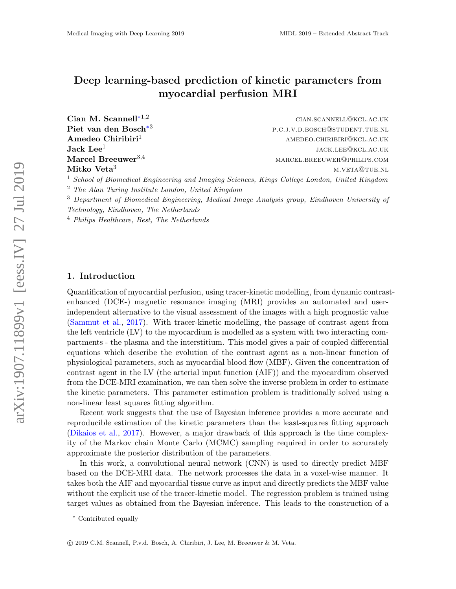# Deep learning-based prediction of kinetic parameters from myocardial perfusion MRI

| Cian M. Scannell $*^{1,2}$                                                                               | CIAN.SCANNELL@KCL.AC.UK        |
|----------------------------------------------------------------------------------------------------------|--------------------------------|
| Piet van den Bosch <sup>*3</sup>                                                                         | P.C.J.V.D.BOSCH@STUDENT.TUE.NL |
| Amedeo Chiribiri <sup>1</sup>                                                                            | AMEDEO.CHIRIBIRI@KCL.AC.UK     |
| Jack Lee <sup>1</sup>                                                                                    | JACK.LEE@KCL.AC.UK             |
| Marcel Breeuwer <sup>3,4</sup>                                                                           | MARCEL.BREEUWER@PHILIPS.COM    |
| Mitko Veta <sup>3</sup>                                                                                  | M.VETA@TUE.NL                  |
| <sup>1</sup> School of Biomedical Engineering and Imaging Sciences, Kings College London, United Kingdom |                                |
| $\frac{2}{3}$ The Alan Turing Institute London, United Kingdom                                           |                                |
| <sup>3</sup> Department of Biomedical Engineering, Medical Image Analysis group, Eindhoven University of |                                |
|                                                                                                          |                                |

Technology, Eindhoven, The Netherlands

<sup>4</sup> Philips Healthcare, Best, The Netherlands

#### 1. Introduction

Quantification of myocardial perfusion, using tracer-kinetic modelling, from dynamic contrastenhanced (DCE-) magnetic resonance imaging (MRI) provides an automated and userindependent alternative to the visual assessment of the images with a high prognostic value [\(Sammut et al.,](#page-3-0) [2017\)](#page-3-0). With tracer-kinetic modelling, the passage of contrast agent from the left ventricle (LV) to the myocardium is modelled as a system with two interacting compartments - the plasma and the interstitium. This model gives a pair of coupled differential equations which describe the evolution of the contrast agent as a non-linear function of physiological parameters, such as myocardial blood flow (MBF). Given the concentration of contrast agent in the LV (the arterial input function (AIF)) and the myocardium observed from the DCE-MRI examination, we can then solve the inverse problem in order to estimate the kinetic parameters. This parameter estimation problem is traditionally solved using a non-linear least squares fitting algorithm.

Recent work suggests that the use of Bayesian inference provides a more accurate and reproducible estimation of the kinetic parameters than the least-squares fitting approach [\(Dikaios et al.,](#page-3-1) [2017\)](#page-3-1). However, a major drawback of this approach is the time complexity of the Markov chain Monte Carlo (MCMC) sampling required in order to accurately approximate the posterior distribution of the parameters.

In this work, a convolutional neural network (CNN) is used to directly predict MBF based on the DCE-MRI data. The network processes the data in a voxel-wise manner. It takes both the AIF and myocardial tissue curve as input and directly predicts the MBF value without the explicit use of the tracer-kinetic model. The regression problem is trained using target values as obtained from the Bayesian inference. This leads to the construction of a

Contributed equally

c 2019 C.M. Scannell, P.v.d. Bosch, A. Chiribiri, J. Lee, M. Breeuwer & M. Veta.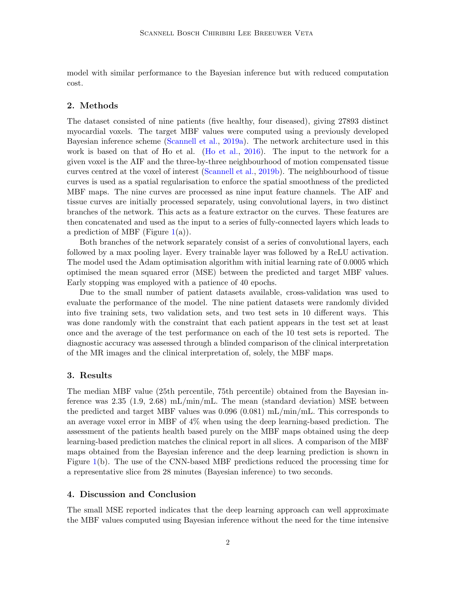model with similar performance to the Bayesian inference but with reduced computation cost.

## 2. Methods

The dataset consisted of nine patients (five healthy, four diseased), giving 27893 distinct myocardial voxels. The target MBF values were computed using a previously developed Bayesian inference scheme [\(Scannell et al.,](#page-3-2) [2019a\)](#page-3-2). The network architecture used in this work is based on that of Ho et al. [\(Ho et al.,](#page-3-3) [2016\)](#page-3-3). The input to the network for a given voxel is the AIF and the three-by-three neighbourhood of motion compensated tissue curves centred at the voxel of interest [\(Scannell et al.,](#page-3-4) [2019b\)](#page-3-4). The neighbourhood of tissue curves is used as a spatial regularisation to enforce the spatial smoothness of the predicted MBF maps. The nine curves are processed as nine input feature channels. The AIF and tissue curves are initially processed separately, using convolutional layers, in two distinct branches of the network. This acts as a feature extractor on the curves. These features are then concatenated and used as the input to a series of fully-connected layers which leads to a prediction of MBF (Figure  $1(a)$  $1(a)$ ).

Both branches of the network separately consist of a series of convolutional layers, each followed by a max pooling layer. Every trainable layer was followed by a ReLU activation. The model used the Adam optimisation algorithm with initial learning rate of 0.0005 which optimised the mean squared error (MSE) between the predicted and target MBF values. Early stopping was employed with a patience of 40 epochs.

Due to the small number of patient datasets available, cross-validation was used to evaluate the performance of the model. The nine patient datasets were randomly divided into five training sets, two validation sets, and two test sets in 10 different ways. This was done randomly with the constraint that each patient appears in the test set at least once and the average of the test performance on each of the 10 test sets is reported. The diagnostic accuracy was assessed through a blinded comparison of the clinical interpretation of the MR images and the clinical interpretation of, solely, the MBF maps.

#### 3. Results

The median MBF value (25th percentile, 75th percentile) obtained from the Bayesian inference was  $2.35$  (1.9,  $2.68$ ) mL/min/mL. The mean (standard deviation) MSE between the predicted and target MBF values was 0.096 (0.081) mL/min/mL. This corresponds to an average voxel error in MBF of 4% when using the deep learning-based prediction. The assessment of the patients health based purely on the MBF maps obtained using the deep learning-based prediction matches the clinical report in all slices. A comparison of the MBF maps obtained from the Bayesian inference and the deep learning prediction is shown in Figure [1\(](#page-2-0)b). The use of the CNN-based MBF predictions reduced the processing time for a representative slice from 28 minutes (Bayesian inference) to two seconds.

## 4. Discussion and Conclusion

The small MSE reported indicates that the deep learning approach can well approximate the MBF values computed using Bayesian inference without the need for the time intensive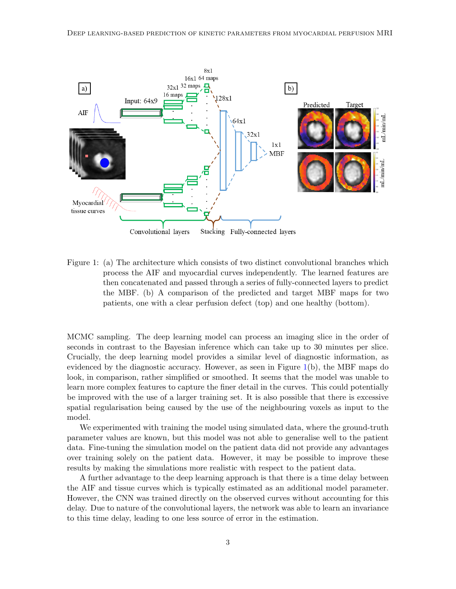

<span id="page-2-0"></span>Figure 1: (a) The architecture which consists of two distinct convolutional branches which process the AIF and myocardial curves independently. The learned features are then concatenated and passed through a series of fully-connected layers to predict the MBF. (b) A comparison of the predicted and target MBF maps for two patients, one with a clear perfusion defect (top) and one healthy (bottom).

MCMC sampling. The deep learning model can process an imaging slice in the order of seconds in contrast to the Bayesian inference which can take up to 30 minutes per slice. Crucially, the deep learning model provides a similar level of diagnostic information, as evidenced by the diagnostic accuracy. However, as seen in Figure [1\(](#page-2-0)b), the MBF maps do look, in comparison, rather simplified or smoothed. It seems that the model was unable to learn more complex features to capture the finer detail in the curves. This could potentially be improved with the use of a larger training set. It is also possible that there is excessive spatial regularisation being caused by the use of the neighbouring voxels as input to the model.

We experimented with training the model using simulated data, where the ground-truth parameter values are known, but this model was not able to generalise well to the patient data. Fine-tuning the simulation model on the patient data did not provide any advantages over training solely on the patient data. However, it may be possible to improve these results by making the simulations more realistic with respect to the patient data.

A further advantage to the deep learning approach is that there is a time delay between the AIF and tissue curves which is typically estimated as an additional model parameter. However, the CNN was trained directly on the observed curves without accounting for this delay. Due to nature of the convolutional layers, the network was able to learn an invariance to this time delay, leading to one less source of error in the estimation.